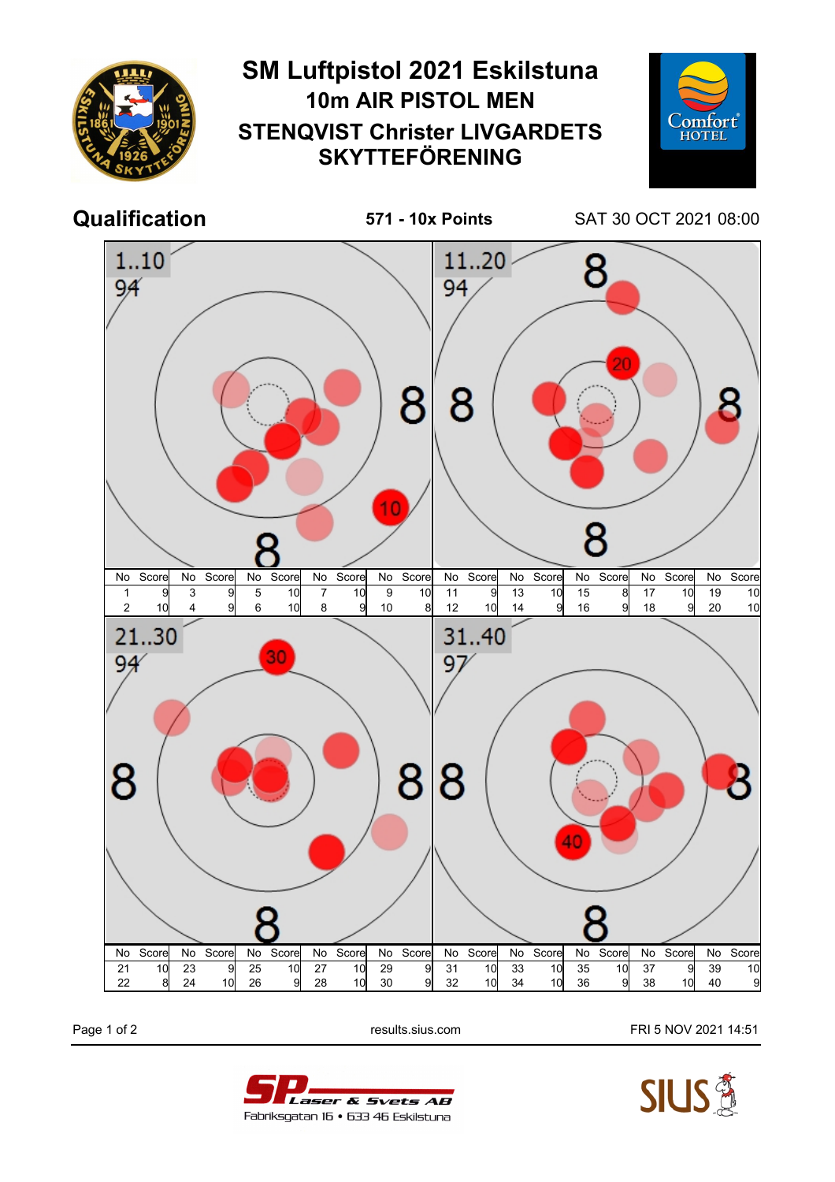

Page 1 of 2 **Page 1 of 2** results.sius.com **FRI 5 NOV 2021 14:51**